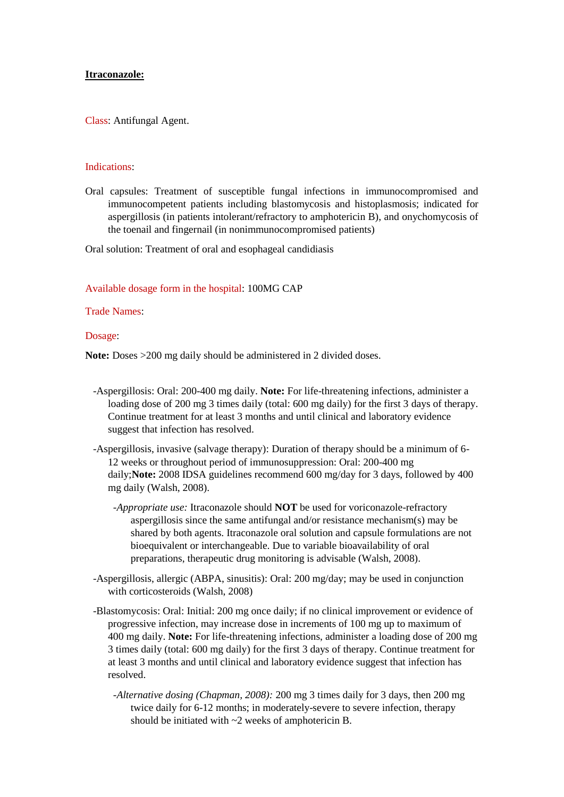## **Itraconazole:**

Class: Antifungal Agent.

#### Indications:

Oral capsules: Treatment of susceptible fungal infections in immunocompromised and immunocompetent patients including blastomycosis and histoplasmosis; indicated for aspergillosis (in patients intolerant/refractory to amphotericin B), and onychomycosis of the toenail and fingernail (in nonimmunocompromised patients)

Oral solution: Treatment of oral and esophageal candidiasis

Available dosage form in the hospital: 100MG CAP

Trade Names:

Dosage:

**Note:** Doses >200 mg daily should be administered in 2 divided doses.

- -Aspergillosis: Oral: 200-400 mg daily. **Note:** For life-threatening infections, administer a loading dose of 200 mg 3 times daily (total: 600 mg daily) for the first 3 days of therapy. Continue treatment for at least 3 months and until clinical and laboratory evidence suggest that infection has resolved.
- -Aspergillosis, invasive (salvage therapy): Duration of therapy should be a minimum of 6- 12 weeks or throughout period of immunosuppression: Oral: 200-400 mg daily;**Note:** 2008 IDSA guidelines recommend 600 mg/day for 3 days, followed by 400 mg daily (Walsh, 2008).
	- *-Appropriate use:* Itraconazole should **NOT** be used for voriconazole-refractory aspergillosis since the same antifungal and/or resistance mechanism(s) may be shared by both agents. Itraconazole oral solution and capsule formulations are not bioequivalent or interchangeable. Due to variable bioavailability of oral preparations, therapeutic drug monitoring is advisable (Walsh, 2008).
- -Aspergillosis, allergic (ABPA, sinusitis): Oral: 200 mg/day; may be used in conjunction with corticosteroids (Walsh, 2008)
- -Blastomycosis: Oral: Initial: 200 mg once daily; if no clinical improvement or evidence of progressive infection, may increase dose in increments of 100 mg up to maximum of 400 mg daily. **Note:** For life-threatening infections, administer a loading dose of 200 mg 3 times daily (total: 600 mg daily) for the first 3 days of therapy. Continue treatment for at least 3 months and until clinical and laboratory evidence suggest that infection has resolved.
	- *-Alternative dosing (Chapman, 2008):* 200 mg 3 times daily for 3 days, then 200 mg twice daily for 6-12 months; in moderately-severe to severe infection, therapy should be initiated with ~2 weeks of amphotericin B.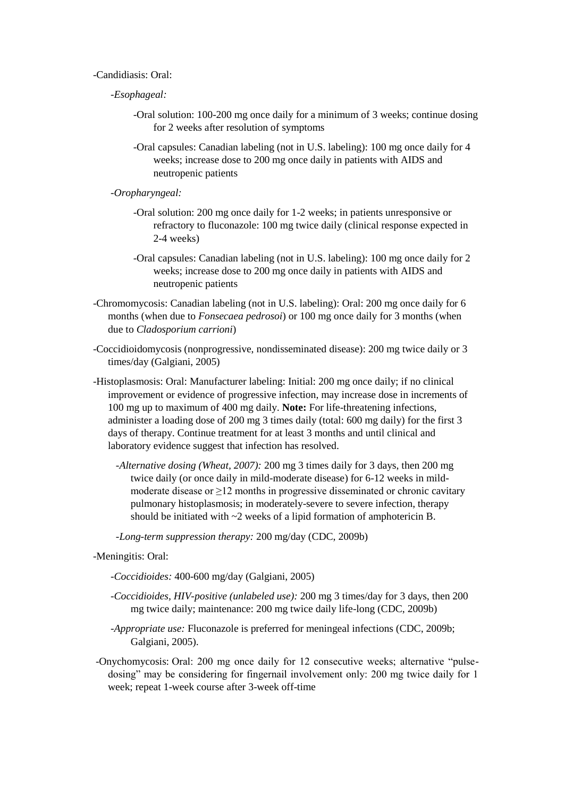# -Candidiasis: Oral:

- *-Esophageal:*
	- -Oral solution: 100-200 mg once daily for a minimum of 3 weeks; continue dosing for 2 weeks after resolution of symptoms
	- -Oral capsules: Canadian labeling (not in U.S. labeling): 100 mg once daily for 4 weeks; increase dose to 200 mg once daily in patients with AIDS and neutropenic patients
- *-Oropharyngeal:*
	- -Oral solution: 200 mg once daily for 1-2 weeks; in patients unresponsive or refractory to fluconazole: 100 mg twice daily (clinical response expected in 2-4 weeks)
	- -Oral capsules: Canadian labeling (not in U.S. labeling): 100 mg once daily for 2 weeks; increase dose to 200 mg once daily in patients with AIDS and neutropenic patients
- -Chromomycosis: Canadian labeling (not in U.S. labeling): Oral: 200 mg once daily for 6 months (when due to *Fonsecaea pedrosoi*) or 100 mg once daily for 3 months (when due to *Cladosporium carrioni*)
- -Coccidioidomycosis (nonprogressive, nondisseminated disease): 200 mg twice daily or 3 times/day (Galgiani, 2005)
- -Histoplasmosis: Oral: Manufacturer labeling: Initial: 200 mg once daily; if no clinical improvement or evidence of progressive infection, may increase dose in increments of 100 mg up to maximum of 400 mg daily. **Note:** For life-threatening infections, administer a loading dose of 200 mg 3 times daily (total: 600 mg daily) for the first 3 days of therapy. Continue treatment for at least 3 months and until clinical and laboratory evidence suggest that infection has resolved.
	- *-Alternative dosing (Wheat, 2007):* 200 mg 3 times daily for 3 days, then 200 mg twice daily (or once daily in mild-moderate disease) for 6-12 weeks in mildmoderate disease or  $\geq$ 12 months in progressive disseminated or chronic cavitary pulmonary histoplasmosis; in moderately-severe to severe infection, therapy should be initiated with ~2 weeks of a lipid formation of amphotericin B.

 *-Long-term suppression therapy:* 200 mg/day (CDC, 2009b)

- -Meningitis: Oral:
	- *-Coccidioides:* 400-600 mg/day (Galgiani, 2005)
	- *-Coccidioides, HIV-positive (unlabeled use):* 200 mg 3 times/day for 3 days, then 200 mg twice daily; maintenance: 200 mg twice daily life-long (CDC, 2009b)
	- *-Appropriate use:* Fluconazole is preferred for meningeal infections (CDC, 2009b; Galgiani, 2005).
- -Onychomycosis: Oral: 200 mg once daily for 12 consecutive weeks; alternative "pulsedosing" may be considering for fingernail involvement only: 200 mg twice daily for 1 week; repeat 1-week course after 3-week off-time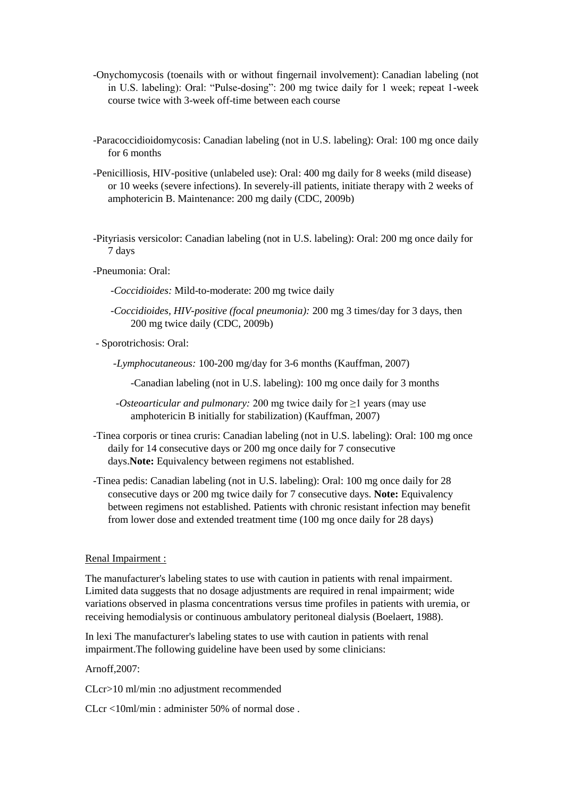- -Onychomycosis (toenails with or without fingernail involvement): Canadian labeling (not in U.S. labeling): Oral: "Pulse-dosing": 200 mg twice daily for 1 week; repeat 1-week course twice with 3-week off-time between each course
- -Paracoccidioidomycosis: Canadian labeling (not in U.S. labeling): Oral: 100 mg once daily for 6 months
- -Penicilliosis, HIV-positive (unlabeled use): Oral: 400 mg daily for 8 weeks (mild disease) or 10 weeks (severe infections). In severely-ill patients, initiate therapy with 2 weeks of amphotericin B. Maintenance: 200 mg daily (CDC, 2009b)
- -Pityriasis versicolor: Canadian labeling (not in U.S. labeling): Oral: 200 mg once daily for 7 days
- -Pneumonia: Oral:
	- *-Coccidioides:* Mild-to-moderate: 200 mg twice daily
	- *-Coccidioides, HIV-positive (focal pneumonia):* 200 mg 3 times/day for 3 days, then 200 mg twice daily (CDC, 2009b)
- Sporotrichosis: Oral:

 *-Lymphocutaneous:* 100-200 mg/day for 3-6 months (Kauffman, 2007)

-Canadian labeling (not in U.S. labeling): 100 mg once daily for 3 months

- *-Osteoarticular and pulmonary:* 200 mg twice daily for ≥1 years (may use amphotericin B initially for stabilization) (Kauffman, 2007)
- -Tinea corporis or tinea cruris: Canadian labeling (not in U.S. labeling): Oral: 100 mg once daily for 14 consecutive days or 200 mg once daily for 7 consecutive days.**Note:** Equivalency between regimens not established.
- -Tinea pedis: Canadian labeling (not in U.S. labeling): Oral: 100 mg once daily for 28 consecutive days or 200 mg twice daily for 7 consecutive days. **Note:** Equivalency between regimens not established. Patients with chronic resistant infection may benefit from lower dose and extended treatment time (100 mg once daily for 28 days)

# Renal Impairment :

The manufacturer's labeling states to use with caution in patients with renal impairment. Limited data suggests that no dosage adjustments are required in renal impairment; wide variations observed in plasma concentrations versus time profiles in patients with uremia, or receiving hemodialysis or continuous ambulatory peritoneal dialysis (Boelaert, 1988).

In lexi The manufacturer's labeling states to use with caution in patients with renal impairment.The following guideline have been used by some clinicians:

## Arnoff,2007:

CLcr>10 ml/min :no adjustment recommended

CLcr <10ml/min : administer 50% of normal dose .